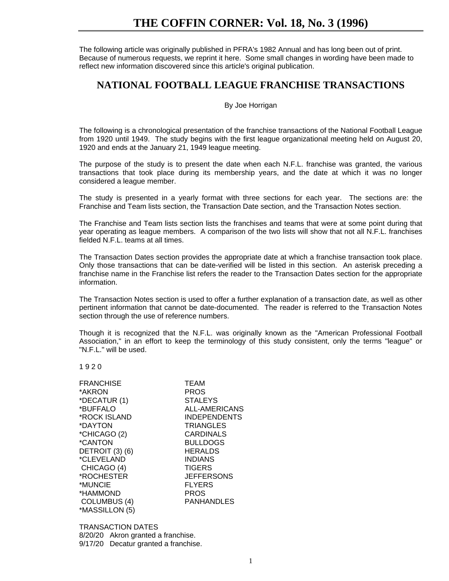# **THE COFFIN CORNER: Vol. 18, No. 3 (1996)**

The following article was originally published in PFRA's 1982 Annual and has long been out of print. Because of numerous requests, we reprint it here. Some small changes in wording have been made to reflect new information discovered since this article's original publication.

## **NATIONAL FOOTBALL LEAGUE FRANCHISE TRANSACTIONS**

## By Joe Horrigan

The following is a chronological presentation of the franchise transactions of the National Football League from 1920 until 1949. The study begins with the first league organizational meeting held on August 20, 1920 and ends at the January 21, 1949 league meeting.

The purpose of the study is to present the date when each N.F.L. franchise was granted, the various transactions that took place during its membership years, and the date at which it was no longer considered a league member.

The study is presented in a yearly format with three sections for each year. The sections are: the Franchise and Team lists section, the Transaction Date section, and the Transaction Notes section.

The Franchise and Team lists section lists the franchises and teams that were at some point during that year operating as league members. A comparison of the two lists will show that not all N.F.L. franchises fielded N.F.L. teams at all times.

The Transaction Dates section provides the appropriate date at which a franchise transaction took place. Only those transactions that can be date-verified will be listed in this section. An asterisk preceding a franchise name in the Franchise list refers the reader to the Transaction Dates section for the appropriate information.

The Transaction Notes section is used to offer a further explanation of a transaction date, as well as other pertinent information that cannot be date-documented. The reader is referred to the Transaction Notes section through the use of reference numbers.

Though it is recognized that the N.F.L. was originally known as the "American Professional Football Association," in an effort to keep the terminology of this study consistent, only the terms "league" or "N.F.L." will be used.

1 9 2 0

| <b>FRANCHISE</b> | TEAM                |
|------------------|---------------------|
| *AKRON           | <b>PROS</b>         |
| *DECATUR (1)     | <b>STALEYS</b>      |
| *BUFFALO         | ALL-AMERICANS       |
| *ROCK ISLAND     | <b>INDEPENDENTS</b> |
| *DAYTON          | <b>TRIANGLES</b>    |
| *CHICAGO (2)     | <b>CARDINALS</b>    |
| *CANTON          | <b>BULLDOGS</b>     |
| DETROIT (3) (6)  | <b>HERALDS</b>      |
| *CLEVELAND       | <b>INDIANS</b>      |
| CHICAGO (4)      | <b>TIGERS</b>       |
| *ROCHESTER       | <b>JEFFERSONS</b>   |
| *MUNCIE          | <b>FLYERS</b>       |
| *HAMMOND         | <b>PROS</b>         |
| COLUMBUS (4)     | <b>PANHANDLES</b>   |
| *MASSILLON (5)   |                     |

TRANSACTION DATES 8/20/20 Akron granted a franchise. 9/17/20 Decatur granted a franchise.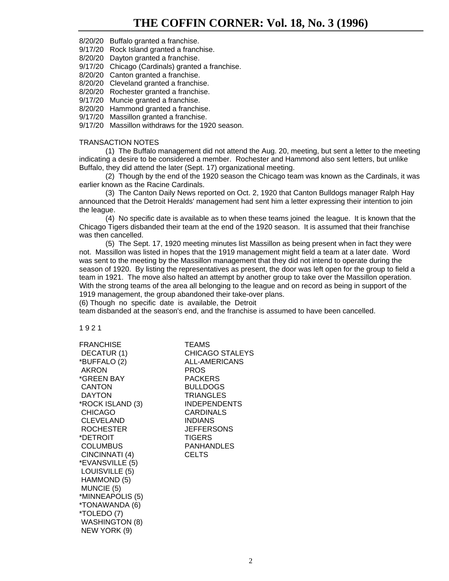8/20/20 Buffalo granted a franchise.

9/17/20 Rock Island granted a franchise.

8/20/20 Dayton granted a franchise.

9/17/20 Chicago (Cardinals) granted a franchise.

8/20/20 Canton granted a franchise.

8/20/20 Cleveland granted a franchise.

8/20/20 Rochester granted a franchise.

9/17/20 Muncie granted a franchise.

8/20/20 Hammond granted a franchise.

9/17/20 Massillon granted a franchise.

9/17/20 Massillon withdraws for the 1920 season.

## TRANSACTION NOTES

(1) The Buffalo management did not attend the Aug. 20, meeting, but sent a letter to the meeting indicating a desire to be considered a member. Rochester and Hammond also sent letters, but unlike Buffalo, they did attend the later (Sept. 17) organizational meeting.

(2) Though by the end of the 1920 season the Chicago team was known as the Cardinals, it was earlier known as the Racine Cardinals.

(3) The Canton Daily News reported on Oct. 2, 1920 that Canton Bulldogs manager Ralph Hay announced that the Detroit Heralds' management had sent him a letter expressing their intention to join the league.

(4) No specific date is available as to when these teams joined the league. It is known that the Chicago Tigers disbanded their team at the end of the 1920 season. It is assumed that their franchise was then cancelled.

(5) The Sept. 17, 1920 meeting minutes list Massillon as being present when in fact they were not. Massillon was listed in hopes that the 1919 management might field a team at a later date. Word was sent to the meeting by the Massillon management that they did not intend to operate during the season of 1920. By listing the representatives as present, the door was left open for the group to field a team in 1921. The move also halted an attempt by another group to take over the Massillon operation. With the strong teams of the area all belonging to the league and on record as being in support of the 1919 management, the group abandoned their take-over plans.

(6) Though no specific date is available, the Detroit

team disbanded at the season's end, and the franchise is assumed to have been cancelled.

1 9 2 1

FRANCHISE **TEAMS** \*BUFFALO (2) ALL-AMERICANS AKRON PROS \*GREEN BAY PACKERS CANTON BULLDOGS DAYTON TRIANGLES \*ROCK ISLAND (3) INDEPENDENTS CHICAGO CARDINALS CLEVELAND INDIANS ROCHESTER JEFFERSONS \*DETROIT TIGERS COLUMBUS PANHANDLES CINCINNATI (4) CELTS \*EVANSVILLE (5) LOUISVILLE (5) HAMMOND (5) MUNCIE (5) \*MINNEAPOLIS (5) \*TONAWANDA (6) \*TOLEDO (7) WASHINGTON (8) NEW YORK (9)

DECATUR (1) CHICAGO STALEYS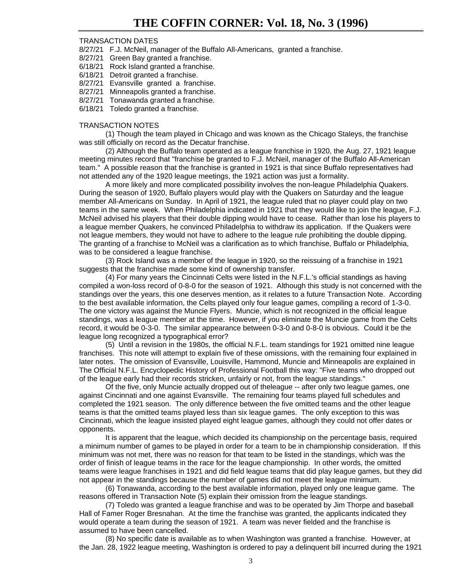8/27/21 F.J. McNeil, manager of the Buffalo All-Americans, granted a franchise.

- 8/27/21 Green Bay granted a franchise.
- 6/18/21 Rock Island granted a franchise.
- 6/18/21 Detroit granted a franchise.
- 8/27/21 Evansville granted a franchise.
- 8/27/21 Minneapolis granted a franchise.
- 8/27/21 Tonawanda granted a franchise.
- 6/18/21 Toledo granted a franchise.

## TRANSACTION NOTES

(1) Though the team played in Chicago and was known as the Chicago Staleys, the franchise was still officially on record as the Decatur franchise.

(2) Although the Buffalo team operated as a league franchise in 1920, the Aug. 27, 1921 league meeting minutes record that "franchise be granted to F.J. McNeil, manager of the Buffalo All-American team." A possible reason that the franchise is granted in 1921 is that since Buffalo representatives had not attended any of the 1920 league meetings, the 1921 action was just a formality.

A more likely and more complicated possibility involves the non-league Philadelphia Quakers. During the season of 1920, Buffalo players would play with the Quakers on Saturday and the league member All-Americans on Sunday. In April of 1921, the league ruled that no player could play on two teams in the same week. When Philadelphia indicated in 1921 that they would like to join the league, F.J. McNeil advised his players that their double dipping would have to cease. Rather than lose his players to a league member Quakers, he convinced Philadelphia to withdraw its application. If the Quakers were not league members, they would not have to adhere to the league rule prohibiting the double dipping. The granting of a franchise to McNeil was a clarification as to which franchise, Buffalo or Philadelphia, was to be considered a league franchise.

(3) Rock Island was a member of the league in 1920, so the reissuing of a franchise in 1921 suggests that the franchise made some kind of ownership transfer.

(4) For many years the Cincinnati Celts were listed in the N.F.L.'s official standings as having compiled a won-loss record of 0-8-0 for the season of 1921. Although this study is not concerned with the standings over the years, this one deserves mention, as it relates to a future Transaction Note. According to the best available information, the Celts played only four league games, compiling a record of 1-3-0. The one victory was against the Muncie Flyers. Muncie, which is not recognized in the official league standings, was a league member at the time. However, if you eliminate the Muncie game from the Celts record, it would be 0-3-0. The similar appearance between 0-3-0 and 0-8-0 is obvious. Could it be the league long recognized a typographical error?

(5) Until a revision in the 1980s, the official N.F.L. team standings for 1921 omitted nine league franchises. This note will attempt to explain five of these omissions, with the remaining four explained in later notes. The omission of Evansville, Louisville, Hammond, Muncie and Minneapolis are explained in The Official N.F.L. Encyclopedic History of Professional Football this way: "Five teams who dropped out of the league early had their records stricken, unfairly or not, from the league standings."

Of the five, only Muncie actually dropped out of theleague -- after only two league games, one against Cincinnati and one against Evansville. The remaining four teams played full schedules and completed the 1921 season. The only difference between the five omitted teams and the other league teams is that the omitted teams played less than six league games. The only exception to this was Cincinnati, which the league insisted played eight league games, although they could not offer dates or opponents.

It is apparent that the league, which decided its championship on the percentage basis, required a minimum number of games to be played in order for a team to be in championship consideration. If this minimum was not met, there was no reason for that team to be listed in the standings, which was the order of finish of league teams in the race for the league championship. In other words, the omitted teams were league franchises in 1921 and did field league teams that did play league games, but they did not appear in the standings because the number of games did not meet the league minimum.

(6) Tonawanda, according to the best available information, played only one league game. The reasons offered in Transaction Note (5) explain their omission from the league standings.

(7) Toledo was granted a league franchise and was to be operated by Jim Thorpe and baseball Hall of Famer Roger Bresnahan. At the time the franchise was granted, the applicants indicated they would operate a team during the season of 1921. A team was never fielded and the franchise is assumed to have been cancelled.

(8) No specific date is available as to when Washington was granted a franchise. However, at the Jan. 28, 1922 league meeting, Washington is ordered to pay a delinquent bill incurred during the 1921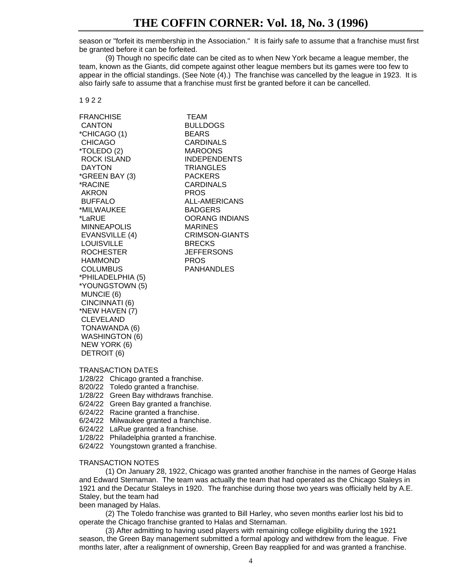season or "forfeit its membership in the Association." It is fairly safe to assume that a franchise must first be granted before it can be forfeited.

(9) Though no specific date can be cited as to when New York became a league member, the team, known as the Giants, did compete against other league members but its games were too few to appear in the official standings. (See Note (4).) The franchise was cancelled by the league in 1923. It is also fairly safe to assume that a franchise must first be granted before it can be cancelled.

## 1 9 2 2

FRANCHISE TEAM CANTON BULLDOGS \*CHICAGO (1) BEARS CHICAGO CARDINALS \*TOLEDO (2) MAROONS ROCK ISLAND INDEPENDENTS DAYTON TRIANGLES \*GREEN BAY (3) PACKERS \*RACINE CARDINALS AKRON PROS BUFFALO ALL-AMERICANS \*MILWAUKEE BADGERS \*LaRUE OORANG INDIANS MINNEAPOLIS MARINES EVANSVILLE (4) CRIMSON-GIANTS LOUISVILLE BRECKS ROCHESTER JEFFERSONS HAMMOND PROS COLUMBUS PANHANDLES \*PHILADELPHIA (5) \*YOUNGSTOWN (5) MUNCIE (6) CINCINNATI (6) \*NEW HAVEN (7) CLEVELAND TONAWANDA (6) WASHINGTON (6) NEW YORK (6) DETROIT (6)

## TRANSACTION DATES

- 1/28/22 Chicago granted a franchise.
- 8/20/22 Toledo granted a franchise.
- 1/28/22 Green Bay withdraws franchise.
- 6/24/22 Green Bay granted a franchise.
- 6/24/22 Racine granted a franchise.
- 6/24/22 Milwaukee granted a franchise.
- 6/24/22 LaRue granted a franchise.
- 1/28/22 Philadelphia granted a franchise.
- 6/24/22 Youngstown granted a franchise.

### TRANSACTION NOTES

(1) On January 28, 1922, Chicago was granted another franchise in the names of George Halas and Edward Sternaman. The team was actually the team that had operated as the Chicago Staleys in 1921 and the Decatur Staleys in 1920. The franchise during those two years was officially held by A.E. Staley, but the team had

been managed by Halas.

(2) The Toledo franchise was granted to Bill Harley, who seven months earlier lost his bid to operate the Chicago franchise granted to Halas and Sternaman.

(3) After admitting to having used players with remaining college eligibility during the 1921 season, the Green Bay management submitted a formal apology and withdrew from the league. Five months later, after a realignment of ownership, Green Bay reapplied for and was granted a franchise.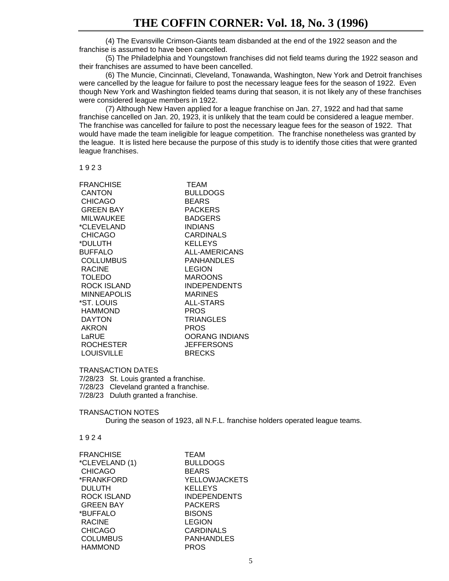(4) The Evansville Crimson-Giants team disbanded at the end of the 1922 season and the franchise is assumed to have been cancelled.

(5) The Philadelphia and Youngstown franchises did not field teams during the 1922 season and their franchises are assumed to have been cancelled.

(6) The Muncie, Cincinnati, Cleveland, Tonawanda, Washington, New York and Detroit franchises were cancelled by the league for failure to post the necessary league fees for the season of 1922. Even though New York and Washington fielded teams during that season, it is not likely any of these franchises were considered league members in 1922.

(7) Although New Haven applied for a league franchise on Jan. 27, 1922 and had that same franchise cancelled on Jan. 20, 1923, it is unlikely that the team could be considered a league member. The franchise was cancelled for failure to post the necessary league fees for the season of 1922. That would have made the team ineligible for league competition. The franchise nonetheless was granted by the league. It is listed here because the purpose of this study is to identify those cities that were granted league franchises.

1 9 2 3

| <b>FRANCHISE</b>   | <b>TEAM</b>           |
|--------------------|-----------------------|
| <b>CANTON</b>      | <b>BULLDOGS</b>       |
| <b>CHICAGO</b>     | <b>BEARS</b>          |
| <b>GREEN BAY</b>   | <b>PACKERS</b>        |
| <b>MILWAUKEE</b>   | <b>BADGERS</b>        |
| *CLEVELAND         | <b>INDIANS</b>        |
| <b>CHICAGO</b>     | CARDINALS             |
| *DULUTH            | <b>KELLEYS</b>        |
| BUFFALO            | ALL-AMERICANS         |
| <b>COLLUMBUS</b>   | <b>PANHANDLES</b>     |
| <b>RACINE</b>      | <b>LEGION</b>         |
| <b>TOLEDO</b>      | <b>MAROONS</b>        |
| <b>ROCK ISLAND</b> | <b>INDEPENDENTS</b>   |
| <b>MINNEAPOLIS</b> | <b>MARINES</b>        |
| *ST. LOUIS         | <b>ALL-STARS</b>      |
| <b>HAMMOND</b>     | <b>PROS</b>           |
| <b>DAYTON</b>      | <b>TRIANGLES</b>      |
| AKRON              | <b>PROS</b>           |
| LaRUE              | <b>OORANG INDIANS</b> |
| ROCHESTER          | <b>JEFFERSONS</b>     |
| LOUISVILLE         | <b>BRECKS</b>         |
|                    |                       |

### TRANSACTION DATES

7/28/23 St. Louis granted a franchise. 7/28/23 Cleveland granted a franchise. 7/28/23 Duluth granted a franchise.

TRANSACTION NOTES During the season of 1923, all N.F.L. franchise holders operated league teams.

1 9 2 4

FRANCHISE TEAM \*CLEVELAND (1) BULLDOGS CHICAGO BEARS DULUTH KELLEYS GREEN BAY PACKERS \*BUFFALO BISONS RACINE LEGION CHICAGO CARDINALS COLUMBUS PANHANDLES HAMMOND PROS

\*FRANKFORD YELLOWJACKETS ROCK ISLAND INDEPENDENTS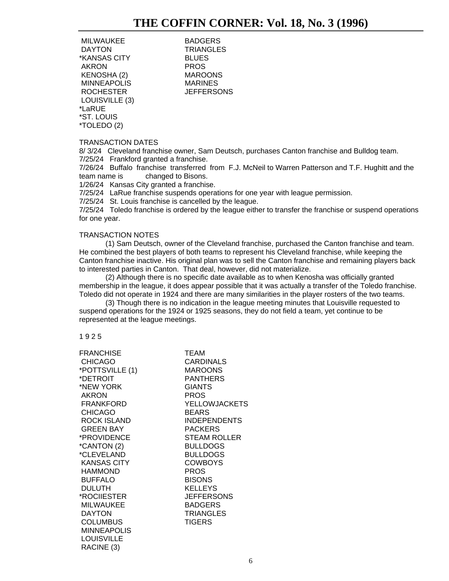MILWAUKEE BADGERS<br>DAYTON TRIANGLE \*KANSAS CITY BLUES AKRON PROS KENOSHA (2) MAROONS MINNEAPOLIS MARINES ROCHESTER JEFFERSONS LOUISVILLE (3) \*LaRUE \*ST. LOUIS \*TOLEDO (2)

**TRIANGLES** 

## TRANSACTION DATES

8/ 3/24 Cleveland franchise owner, Sam Deutsch, purchases Canton franchise and Bulldog team. 7/25/24 Frankford granted a franchise.

7/26/24 Buffalo franchise transferred from F.J. McNeil to Warren Patterson and T.F. Hughitt and the team name is changed to Bisons.

1/26/24 Kansas City granted a franchise.

7/25/24 LaRue franchise suspends operations for one year with league permission.

7/25/24 St. Louis franchise is cancelled by the league.

7/25/24 Toledo franchise is ordered by the league either to transfer the franchise or suspend operations for one year.

## TRANSACTION NOTES

(1) Sam Deutsch, owner of the Cleveland franchise, purchased the Canton franchise and team. He combined the best players of both teams to represent his Cleveland franchise, while keeping the Canton franchise inactive. His original plan was to sell the Canton franchise and remaining players back to interested parties in Canton. That deal, however, did not materialize.

(2) Although there is no specific date available as to when Kenosha was officially granted membership in the league, it does appear possible that it was actually a transfer of the Toledo franchise. Toledo did not operate in 1924 and there are many similarities in the player rosters of the two teams.

(3) Though there is no indication in the league meeting minutes that Louisville requested to suspend operations for the 1924 or 1925 seasons, they do not field a team, yet continue to be represented at the league meetings.

### 1 9 2 5

| FRANCHISE<br><b>CHICAGO</b><br>*POTTSVILLE (1)<br>*DETROIT.<br>*NEW YORK | TEAM<br><b>CARDINALS</b><br><b>MAROONS</b><br><b>PANTHERS</b><br><b>GIANTS</b> |
|--------------------------------------------------------------------------|--------------------------------------------------------------------------------|
| <b>AKRON</b>                                                             | <b>PROS</b>                                                                    |
| <b>FRANKFORD</b>                                                         | <b>YELLOWJACKETS</b>                                                           |
| <b>CHICAGO</b>                                                           | <b>BEARS</b>                                                                   |
| ROCK ISLAND                                                              | <b>INDEPENDENTS</b>                                                            |
| <b>GREEN BAY</b>                                                         | <b>PACKERS</b>                                                                 |
| *PROVIDENCE                                                              | <b>STEAM ROLLER</b>                                                            |
| *CANTON (2)                                                              | <b>BULLDOGS</b>                                                                |
| *CLEVELAND                                                               | <b>BULLDOGS</b>                                                                |
| <b>KANSAS CITY</b>                                                       | <b>COWBOYS</b>                                                                 |
| <b>HAMMOND</b>                                                           | <b>PROS</b>                                                                    |
| BUFFALO                                                                  | <b>BISONS</b>                                                                  |
| <b>DULUTH</b>                                                            | <b>KELLEYS</b>                                                                 |
| *ROCIIESTER                                                              | <b>JEFFERSONS</b>                                                              |
| <b>MILWAUKEE</b>                                                         | <b>BADGERS</b>                                                                 |
| <b>DAYTON</b>                                                            | <b>TRIANGLES</b>                                                               |
| <b>COLUMBUS</b>                                                          | <b>TIGERS</b>                                                                  |
| <b>MINNEAPOLIS</b>                                                       |                                                                                |
| <b>LOUISVILLE</b>                                                        |                                                                                |
| RACINE (3)                                                               |                                                                                |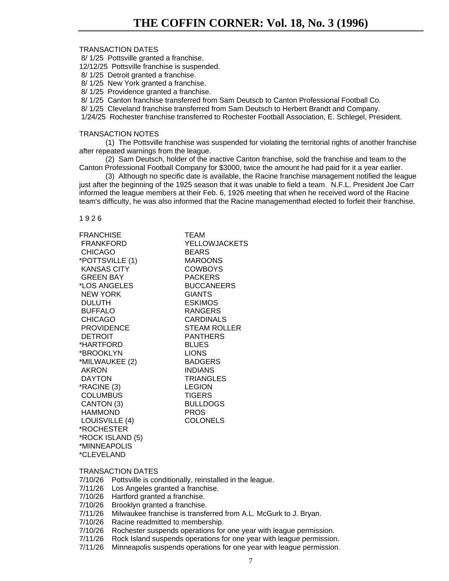8/ 1/25 Pottsville granted a franchise.

12/12/25 Pottsville franchise is suspended.

8/ 1/25 Detroit granted a franchise.

8/ 1/25 New York granted a franchise.

8/ 1/25 Providence granted a franchise.

8/ 1/25 Canton franchise transferred from Sam Deutscb to Canton Professional Football Co.

8/ 1/25 Cleveland franchise transferred from Sam Deutsch to Herbert Brandt and Company.

1/24/25 Rochester franchise transferred to Rochester Football Association, E. Schlegel, President.

### TRANSACTION NOTES

(1) The Pottsville franchise was suspended for violating the territorial rights of another franchise after repeated warnings from the league.

(2) Sam Deutsch, holder of the inactive Canton franchise, sold the franchise and team to the Canton Professional Football Company for \$3000, twice the amount he had paid for it a year earlier.

(3) Although no specific date is available, the Racine franchise management notified the league just after the beginning of the 1925 season that it was unable to field a team. N.F.L. President Joe Carr informed the league members at their Feb. 6, 1926 meeting that when he received word of the Racine team's difficulty, he was also informed that the Racine managementhad elected to forfeit their franchise.

1 9 2 6

FRANCHISE **TEAM** CHICAGO BEARS \*POTTSVILLE (1) MAROONS KANSAS CITY COWBOYS GREEN BAY PACKERS \*LOS ANGELES BUCCANEERS NEW YORK GIANTS DULUTH ESKIMOS BUFFALO RANGERS CHICAGO CARDINALS DETROIT PANTHERS \*HARTFORD BLUES \*BROOKLYN LIONS \*MILWAUKEE (2) BADGERS AKRON INDIANS DAYTON TRIANGLES \*RACINE (3) LEGION COLUMBUS TIGERS CANTON (3) BULLDOGS HAMMOND PROS LOUISVILLE (4) COLONELS \*ROCHESTER \*ROCK ISLAND (5) \*MINNEAPOLIS \*CLEVELAND

 FRANKFORD YELLOWJACKETS PROVIDENCE STEAM ROLLER

## TRANSACTION DATES

7/10/26 Pottsville is conditionally, reinstalled in the league.

7/11/26 Los Angeles granted a franchise.

7/10/26 Hartford granted a franchise.

7/10/26 Brooklyn granted a franchise.

7/11/26 Milwaukee franchise is transferred from A.L. McGurk to J. Bryan.

7/10/26 Racine readmitted to membership.

7/10/26 Rochester suspends operations for one year with league permission.

7/11/26 Rock Island suspends operations for one year with league permission.

7/11/26 Minneapolis suspends operations for one year with league permission.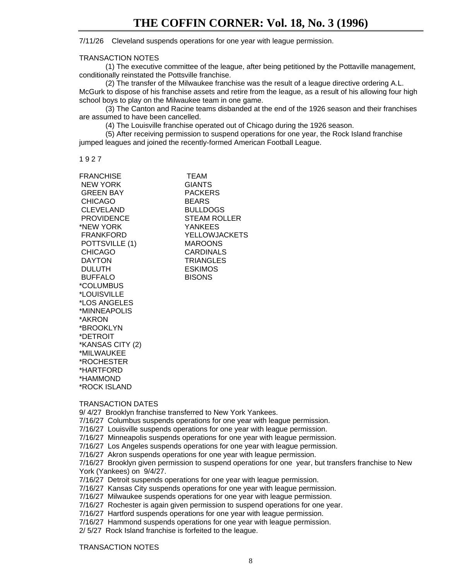## 7/11/26 Cleveland suspends operations for one year with league permission.

## TRANSACTION NOTES

(1) The executive committee of the league, after being petitioned by the Pottaville management, conditionally reinstated the Pottsville franchise.

(2) The transfer of the Milwaukee franchise was the result of a league directive ordering A.L. McGurk to dispose of his franchise assets and retire from the league, as a result of his allowing four high school boys to play on the Milwaukee team in one game.

(3) The Canton and Racine teams disbanded at the end of the 1926 season and their franchises are assumed to have been cancelled.

(4) The Louisville franchise operated out of Chicago during the 1926 season.

(5) After receiving permission to suspend operations for one year, the Rock Island franchise jumped leagues and joined the recently-formed American Football League.

1 9 2 7

| <b>FRANCHISE</b>  | <b>TEAM</b>          |
|-------------------|----------------------|
| <b>NEW YORK</b>   | <b>GIANTS</b>        |
| <b>GREEN BAY</b>  | <b>PACKERS</b>       |
| <b>CHICAGO</b>    | <b>BEARS</b>         |
| <b>CLEVELAND</b>  | <b>BULLDOGS</b>      |
| <b>PROVIDENCE</b> | <b>STEAM ROLLER</b>  |
| *NEW YORK         | <b>YANKEES</b>       |
| FRANKFORD         | <b>YELLOWJACKETS</b> |
| POTTSVILLE (1)    | <b>MAROONS</b>       |
| <b>CHICAGO</b>    | <b>CARDINALS</b>     |
| <b>DAYTON</b>     | <b>TRIANGLES</b>     |
| <b>DULUTH</b>     | <b>ESKIMOS</b>       |
| <b>BUFFALO</b>    | <b>BISONS</b>        |
| *COLUMBUS         |                      |
| *LOUISVILLE       |                      |
| *LOS ANGELES      |                      |
| *MINNEAPOLIS      |                      |
| *AKRON            |                      |
| *BROOKLYN         |                      |
| *DETROIT          |                      |
| *KANSAS CITY (2)  |                      |
| *MILWAUKEE        |                      |
| *ROCHESTER        |                      |
| *HARTFORD         |                      |
| *HAMMOND          |                      |
| *ROCK ISLAND      |                      |

## TRANSACTION DATES

9/ 4/27 Brooklyn franchise transferred to New York Yankees.

- 7/16/27 Columbus suspends operations for one year with league permission.
- 7/16/27 Louisville suspends operations for one year with league permission.
- 7/16/27 Minneapolis suspends operations for one year with league permission.
- 7/16/27 Los Angeles suspends operations for one year with league permission.
- 7/16/27 Akron suspends operations for one year with league permission.

7/16/27 Brooklyn given permission to suspend operations for one year, but transfers franchise to New York (Yankees) on 9/4/27.

7/16/27 Detroit suspends operations for one year with league permission.

7/16/27 Kansas City suspends operations for one year with league permission.

- 7/16/27 Milwaukee suspends operations for one year with league permission.
- 7/16/27 Rochester is again given permission to suspend operations for one year.
- 7/16/27 Hartford suspends operations for one year with league permission.

7/16/27 Hammond suspends operations for one year with league permission.

2/ 5/27 Rock Island franchise is forfeited to the league.

TRANSACTION NOTES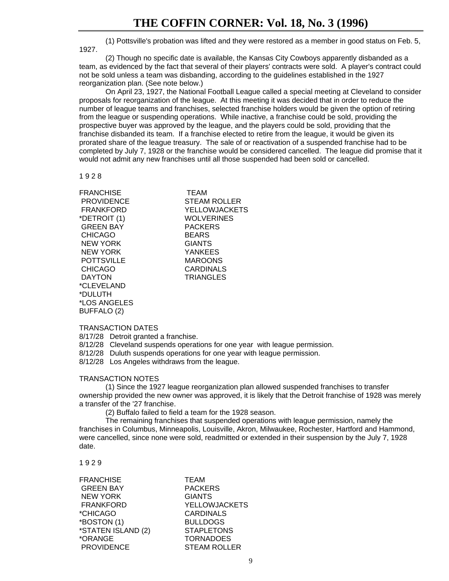(1) Pottsville's probation was lifted and they were restored as a member in good status on Feb. 5, 1927.

(2) Though no specific date is available, the Kansas City Cowboys apparently disbanded as a team, as evidenced by the fact that several of their players' contracts were sold. A player's contract could not be sold unless a team was disbanding, according to the guidelines established in the 1927 reorganization plan. (See note below.)

On April 23, 1927, the National Football League called a special meeting at Cleveland to consider proposals for reorganization of the league. At this meeting it was decided that in order to reduce the number of league teams and franchises, selected franchise holders would be given the option of retiring from the league or suspending operations. While inactive, a franchise could be sold, providing the prospective buyer was approved by the league, and the players could be sold, providing that the franchise disbanded its team. If a franchise elected to retire from the league, it would be given its prorated share of the league treasury. The sale of or reactivation of a suspended franchise had to be completed by July 7, 1928 or the franchise would be considered cancelled. The league did promise that it would not admit any new franchises until all those suspended had been sold or cancelled.

1 9 2 8

| <b>TEAM</b>       |
|-------------------|
|                   |
| STEAM ROLLER      |
| YELLOWJACKETS     |
| <b>WOLVERINES</b> |
| <b>PACKERS</b>    |
| <b>BEARS</b>      |
| <b>GIANTS</b>     |
| <b>YANKEES</b>    |
| <b>MAROONS</b>    |
| CARDINALS         |
| <b>TRIANGLES</b>  |
|                   |
|                   |
|                   |
|                   |

## TRANSACTION DATES

BUFFALO (2)

8/17/28 Detroit granted a franchise.

8/12/28 Cleveland suspends operations for one year with league permission.

8/12/28 Duluth suspends operations for one year with league permission.

8/12/28 Los Angeles withdraws from the league.

## TRANSACTION NOTES

(1) Since the 1927 league reorganization plan allowed suspended franchises to transfer ownership provided the new owner was approved, it is likely that the Detroit franchise of 1928 was merely a transfer of the '27 franchise.

(2) Buffalo failed to field a team for the 1928 season.

The remaining franchises that suspended operations with league permission, namely the franchises in Columbus, Minneapolis, Louisville, Akron, Milwaukee, Rochester, Hartford and Hammond, were cancelled, since none were sold, readmitted or extended in their suspension by the July 7, 1928 date.

1 9 2 9

| <b>PACKERS</b>       |
|----------------------|
| <b>GIANTS</b>        |
| <b>YELLOWJACKETS</b> |
| <b>CARDINALS</b>     |
| <b>BULLDOGS</b>      |
| <b>STAPLETONS</b>    |
| <b>TORNADOES</b>     |
| <b>STEAM ROLLER</b>  |
|                      |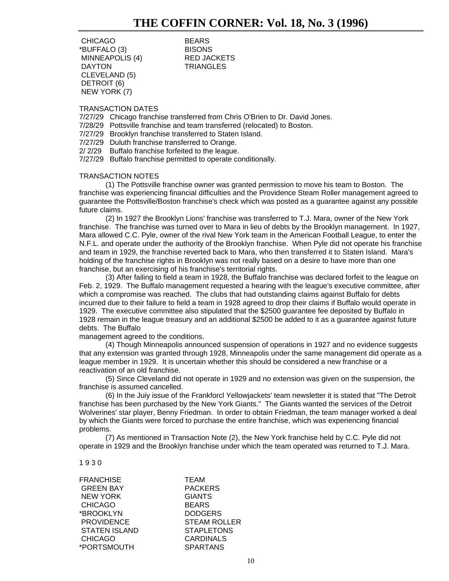CHICAGO BEARS \*BUFFALO (3) BISONS MINNEAPOLIS (4) RED JACKETS DAYTON **TRIANGLES**  CLEVELAND (5) DETROIT (6) NEW YORK (7)

## TRANSACTION DATES

7/27/29 Chicago franchise transferred from Chris O'Brien to Dr. David Jones.

7/28/29 Pottsville franchise and team transferred (relocated) to Boston.

7/27/29 Brooklyn franchise transferred to Staten Island.

7/27/29 Duluth franchise transferred to Orange.

2/ 2/29 Buffalo franchise forfeited to the league.

7/27/29 Buffalo franchise permitted to operate conditionally.

## TRANSACTION NOTES

(1) The Pottsville franchise owner was granted permission to move his team to Boston. The franchise was experiencing financial difficulties and the Providence Steam Roller management agreed to guarantee the Pottsville/Boston franchise's check which was posted as a guarantee against any possible future claims.

(2) In 1927 the Brooklyn Lions' franchise was transferred to T.J. Mara, owner of the New York franchise. The franchise was turned over to Mara in lieu of debts by the Brooklyn management. In 1927, Mara allowed C.C. Pyle, owner of the rival New York team in the American Football League, to enter the N.F.L. and operate under the authority of the Brooklyn franchise. When Pyle did not operate his franchise and team in 1929, the franchise reverted back to Mara, who then transferred it to Staten Island. Mara's holding of the franchise rights in Brooklyn was not really based on a desire to have more than one franchise, but an exercising of his franchise's territorial rights.

(3) After failing to field a team in 1928, the Buffalo franchise was declared forfeit to the league on Feb. 2, 1929. The Buffalo management requested a hearing with the league's executive committee, after which a compromise was reached. The clubs that had outstanding claims against Buffalo for debts incurred due to their failure to field a team in 1928 agreed to drop their claims if Buffalo would operate in 1929. The executive committee also stipulated that the \$2500 guarantee fee deposited by Buffalo in 1928 remain in the league treasury and an additional \$2500 be added to it as a guarantee against future debts. The Buffalo

management agreed to the conditions.

(4) Though Minneapolis announced suspension of operations in 1927 and no evidence suggests that any extension was granted through 1928, Minneapolis under the same management did operate as a league member in 1929. It is uncertain whether this should be considered a new franchise or a reactivation of an old franchise.

(5) Since Cleveland did not operate in 1929 and no extension was given on the suspension, the franchise is assumed cancelled.

(6) In the Juiy issue of the Frankforcl Yellowjackets' team newsletter it is stated that "The Detroit franchise has been purchased by the New York Giants." The Giants wanted the services of the Detroit Wolverines' star player, Benny Friedman. In order to obtain Friedman, the team manager worked a deal by which the Giants were forced to purchase the entire franchise, which was experiencing financial problems.

(7) As mentioned in Transaction Note (2), the New York franchise held by C.C. Pyle did not operate in 1929 and the Brooklyn franchise under which the team operated was returned to T.J. Mara.

### 1 9 3 0

| <b>TEAM</b>         |
|---------------------|
| <b>PACKERS</b>      |
| <b>GIANTS</b>       |
| <b>BEARS</b>        |
| <b>DODGERS</b>      |
| <b>STEAM ROLLER</b> |
| <b>STAPLETONS</b>   |
| <b>CARDINALS</b>    |
| <b>SPARTANS</b>     |
|                     |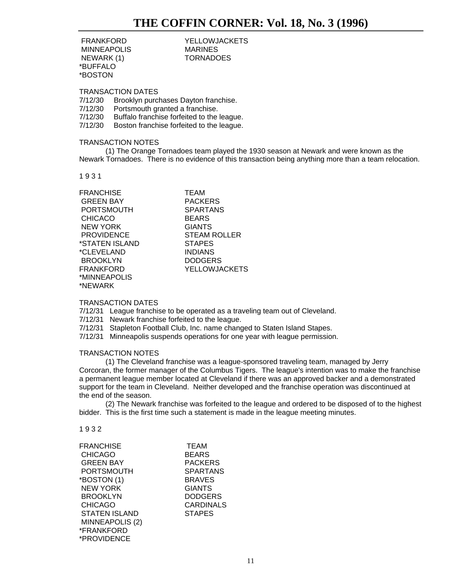**MINNEAPOLIS**  NEWARK (1) TORNADOES \*BUFFALO \*BOSTON

FRANKFORD YELLOWJACKETS

TRANSACTION DATES

7/12/30 Brooklyn purchases Dayton franchise.

- 7/12/30 Portsmouth granted a franchise.
- 7/12/30 Buffalo franchise forfeited to the league.

7/12/30 Boston franchise forfeited to the league.

## TRANSACTION NOTES

(1) The Orange Tornadoes team played the 1930 season at Newark and were known as the Newark Tornadoes. There is no evidence of this transaction being anything more than a team relocation.

1 9 3 1

| FRANCHISE         |  |
|-------------------|--|
| <b>GREEN BAY</b>  |  |
| PORTSMOUTH        |  |
| <b>CHICACO</b>    |  |
| NEW YORK          |  |
| <b>PROVIDENCE</b> |  |
| *STATEN ISLAND    |  |
| *CLEVELAND        |  |
| <b>BROOKLYN</b>   |  |
| FRANKFORD         |  |
| *MINNEAPOLIS      |  |
| *NEWARK           |  |
|                   |  |

TEAM PACKERS **SPARTANS BEARS GIANTS STEAM ROLLER** STAPES **INDIANS DODGERS YELLOWJACKETS** 

## TRANSACTION DATES

7/12/31 League franchise to be operated as a traveling team out of Cleveland.

- 7/12/31 Newark franchise forfeited to the league.
- 7/12/31 Stapleton Football Club, Inc. name changed to Staten Island Stapes.
- 7/12/31 Minneapolis suspends operations for one year with league permission.

## TRANSACTION NOTES

(1) The Cleveland franchise was a league-sponsored traveling team, managed by Jerry Corcoran, the former manager of the Columbus Tigers. The league's intention was to make the franchise a permanent league member located at Cleveland if there was an approved backer and a demonstrated support for the team in Cleveland. Neither developed and the franchise operation was discontinued at the end of the season.

(2) The Newark franchise was forfeited to the league and ordered to be disposed of to the highest bidder. This is the first time such a statement is made in the league meeting minutes.

### 1 9 3 2

| FRANCHISE            | <b>TEAM</b>      |
|----------------------|------------------|
|                      |                  |
| <b>CHICAGO</b>       | <b>BEARS</b>     |
| <b>GREEN BAY</b>     | <b>PACKERS</b>   |
| <b>PORTSMOUTH</b>    | <b>SPARTANS</b>  |
| *BOSTON (1)          | <b>BRAVES</b>    |
| <b>NEW YORK</b>      | <b>GIANTS</b>    |
| <b>BROOKLYN</b>      | <b>DODGERS</b>   |
| <b>CHICAGO</b>       | <b>CARDINALS</b> |
| <b>STATEN ISLAND</b> | <b>STAPES</b>    |
| MINNEAPOLIS (2)      |                  |
| *FRANKFORD           |                  |
| *PROVIDENCE          |                  |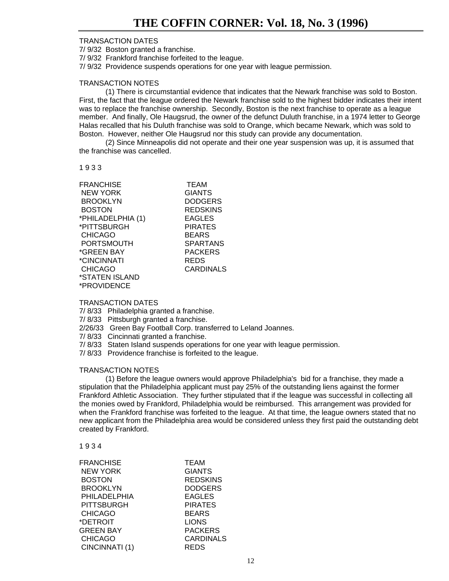7/ 9/32 Boston granted a franchise.

7/ 9/32 Frankford franchise forfeited to the league.

7/ 9/32 Providence suspends operations for one year with league permission.

## TRANSACTION NOTES

(1) There is circumstantial evidence that indicates that the Newark franchise was sold to Boston. First, the fact that the league ordered the Newark franchise sold to the highest bidder indicates their intent was to replace the franchise ownership. Secondly, Boston is the next franchise to operate as a league member. And finally, Ole Haugsrud, the owner of the defunct Duluth franchise, in a 1974 letter to George Halas recalled that his Duluth franchise was sold to Orange, which became Newark, which was sold to Boston. However, neither Ole Haugsrud nor this study can provide any documentation.

(2) Since Minneapolis did not operate and their one year suspension was up, it is assumed that the franchise was cancelled.

1 9 3 3

| <b>FRANCHISE</b>  | <b>TEAM</b>     |
|-------------------|-----------------|
| <b>NEW YORK</b>   | <b>GIANTS</b>   |
| <b>BROOKLYN</b>   | <b>DODGERS</b>  |
| <b>BOSTON</b>     | <b>REDSKINS</b> |
| *PHILADELPHIA (1) | <b>EAGLES</b>   |
| *PITTSBURGH       | <b>PIRATES</b>  |
| <b>CHICAGO</b>    | <b>BEARS</b>    |
| <b>PORTSMOUTH</b> | <b>SPARTANS</b> |
| *GREEN BAY        | <b>PACKERS</b>  |
| *CINCINNATI       | REDS            |
| <b>CHICAGO</b>    | CARDINALS       |
| *STATEN ISLAND    |                 |
| *PROVIDENCE       |                 |

## TRANSACTION DATES

7/ 8/33 Philadelphia granted a franchise.

7/ 8/33 Pittsburgh granted a franchise.

2/26/33 Green Bay Football Corp. transferred to Leland Joannes.

7/ 8/33 Cincinnati granted a franchise.

7/ 8/33 Staten Island suspends operations for one year with league permission.

7/ 8/33 Providence franchise is forfeited to the league.

## TRANSACTION NOTES

(1) Before the league owners would approve Philadelphia's bid for a franchise, they made a stipulation that the Philadelphia applicant must pay 25% of the outstanding liens against the former Frankford Athletic Association. They further stipulated that if the league was successful in collecting all the monies owed by Frankford, Philadelphia would be reimbursed. This arrangement was provided for when the Frankford franchise was forfeited to the league. At that time, the league owners stated that no new applicant from the Philadelphia area would be considered unless they first paid the outstanding debt created by Frankford.

1 9 3 4

| <b>FRANCHISE</b>  | <b>TEAM</b>      |
|-------------------|------------------|
| <b>NEW YORK</b>   | <b>GIANTS</b>    |
| <b>BOSTON</b>     | <b>REDSKINS</b>  |
| <b>BROOKLYN</b>   | <b>DODGERS</b>   |
| PHILADELPHIA      | <b>EAGLES</b>    |
| <b>PITTSBURGH</b> | <b>PIRATES</b>   |
| <b>CHICAGO</b>    | <b>BEARS</b>     |
| *DETROIT          | <b>LIONS</b>     |
| <b>GREEN BAY</b>  | <b>PACKERS</b>   |
| <b>CHICAGO</b>    | <b>CARDINALS</b> |
| CINCINNATI (1)    | REDS             |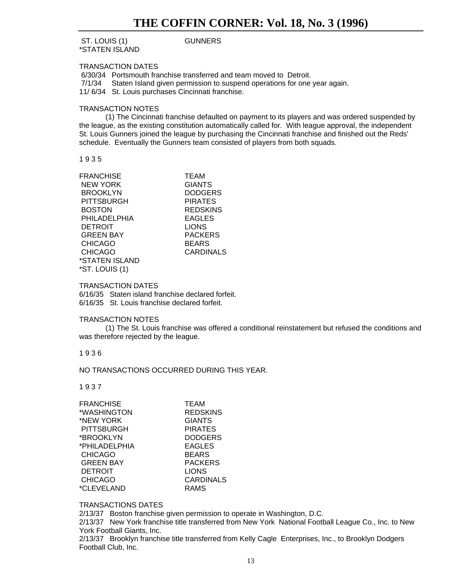## ST. LOUIS (1) GUNNERS \*STATEN ISLAND

## TRANSACTION DATES

6/30/34 Portsmouth franchise transferred and team moved to Detroit.

7/1/34 Staten Island given permission to suspend operations for one year again.

11/ 6/34 St. Louis purchases Cincinnati franchise.

## TRANSACTION NOTES

(1) The Cincinnati franchise defaulted on payment to its players and was ordered suspended by the league, as the existing constitution automatically called for. With league approval, the independent St. Louis Gunners joined the league by purchasing the Cincinnati franchise and finished out the Reds' schedule. Eventually the Gunners team consisted of players from both squads.

1 9 3 5

| <b>FRANCHISE</b> | <b>TEAM</b>     |
|------------------|-----------------|
| <b>NEW YORK</b>  | <b>GIANTS</b>   |
| <b>BROOKLYN</b>  | <b>DODGERS</b>  |
| PITTSBURGH       | <b>PIRATES</b>  |
| <b>BOSTON</b>    | <b>REDSKINS</b> |
| PHILADELPHIA     | <b>EAGLES</b>   |
| <b>DETROIT</b>   | <b>LIONS</b>    |
| <b>GREEN BAY</b> | <b>PACKERS</b>  |
| <b>CHICAGO</b>   | BEARS           |
| <b>CHICAGO</b>   | CARDINALS       |
| *STATEN ISLAND   |                 |
| *ST. LOUIS (1)   |                 |
|                  |                 |

## TRANSACTION DATES

6/16/35 Staten island franchise declared forfeit. 6/16/35 St. Louis franchise declared forfeit.

## TRANSACTION NOTES

(1) The St. Louis franchise was offered a conditional reinstatement but refused the conditions and was therefore rejected by the league.

## 1 9 3 6

NO TRANSACTIONS OCCURRED DURING THIS YEAR.

1 9 3 7

| FRANCHISE        | <b>TEAM</b>      |
|------------------|------------------|
| *WASHINGTON      | <b>REDSKINS</b>  |
| *NEW YORK        | <b>GIANTS</b>    |
| PITTSBURGH       | <b>PIRATES</b>   |
| *BROOKLYN        | <b>DODGERS</b>   |
| *PHILADELPHIA    | <b>EAGLES</b>    |
| <b>CHICAGO</b>   | <b>BEARS</b>     |
| <b>GREEN BAY</b> | <b>PACKERS</b>   |
| <b>DETROIT</b>   | <b>LIONS</b>     |
| <b>CHICAGO</b>   | <b>CARDINALS</b> |
| *CLEVELAND       | RAMS             |
|                  |                  |

## TRANSACTIONS DATES

2/13/37 Boston franchise given permission to operate in Washington, D.C.

2/13/37 New York franchise title transferred from New York National Football League Co., Inc. to New York Football Giants, Inc.

2/13/37 Brooklyn franchise title transferred from Kelly Cagle Enterprises, Inc., to Brooklyn Dodgers Football Club, Inc.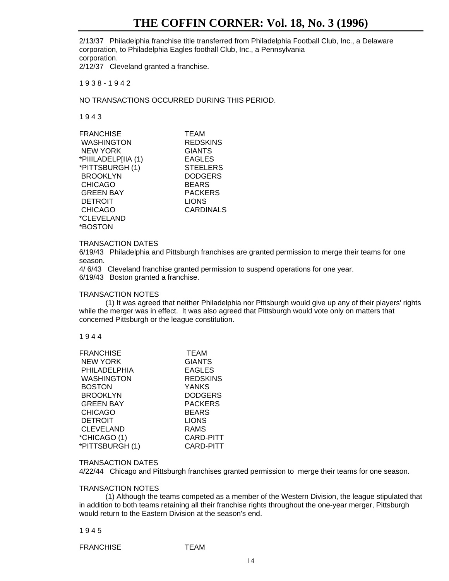## **THE COFFIN CORNER: Vol. 18, No. 3 (1996)**

2/13/37 Philadeiphia franchise title transferred from Philadelphia Football Club, Inc., a Delaware corporation, to Philadelphia Eagles foothall Club, Inc., a Pennsylvania corporation.

2/12/37 Cleveland granted a franchise.

1 9 3 8 - 1 9 4 2

NO TRANSACTIONS OCCURRED DURING THIS PERIOD.

1 9 4 3

| <b>FRANCHISE</b>    | <b>TEAM</b>      |
|---------------------|------------------|
| <b>WASHINGTON</b>   | <b>REDSKINS</b>  |
| <b>NEW YORK</b>     | <b>GIANTS</b>    |
| *PIIILADELP[IIA (1) | <b>EAGLES</b>    |
| *PITTSBURGH(1)      | <b>STEELERS</b>  |
| <b>BROOKLYN</b>     | <b>DODGERS</b>   |
| <b>CHICAGO</b>      | <b>BEARS</b>     |
| <b>GREEN BAY</b>    | <b>PACKERS</b>   |
| <b>DETROIT</b>      | <b>LIONS</b>     |
| <b>CHICAGO</b>      | <b>CARDINALS</b> |
| *CLEVELAND          |                  |
| *BOSTON             |                  |

## TRANSACTION DATES

6/19/43 Philadelphia and Pittsburgh franchises are granted permission to merge their teams for one season.

4/ 6/43 Cleveland franchise granted permission to suspend operations for one year.

6/19/43 Boston granted a franchise.

## TRANSACTION NOTES

(1) It was agreed that neither Philadelphia nor Pittsburgh would give up any of their players' rights while the merger was in effect. It was also agreed that Pittsburgh would vote only on matters that concerned Pittsburgh or the league constitution.

## 1 9 4 4

| <b>FRANCHISE</b> | <b>TEAM</b>     |
|------------------|-----------------|
| <b>NEW YORK</b>  | <b>GIANTS</b>   |
| PHILADELPHIA     | EAGLES          |
| WASHINGTON       | <b>REDSKINS</b> |
| <b>BOSTON</b>    | <b>YANKS</b>    |
| <b>BROOKLYN</b>  | <b>DODGERS</b>  |
| <b>GREEN BAY</b> | <b>PACKERS</b>  |
| <b>CHICAGO</b>   | BEARS           |
| <b>DETROIT</b>   | <b>LIONS</b>    |
| <b>CLEVELAND</b> | <b>RAMS</b>     |
| *CHICAGO (1)     | CARD-PITT       |
| *PITTSBURGH (1)  | CARD-PITT       |

### TRANSACTION DATES

4/22/44 Chicago and Pittsburgh franchises granted permission to merge their teams for one season.

## TRANSACTION NOTES

(1) Although the teams competed as a member of the Western Division, the league stipulated that in addition to both teams retaining all their franchise rights throughout the one-year merger, Pittsburgh would return to the Eastern Division at the season's end.

### 1 9 4 5

FRANCHISE **TEAM**